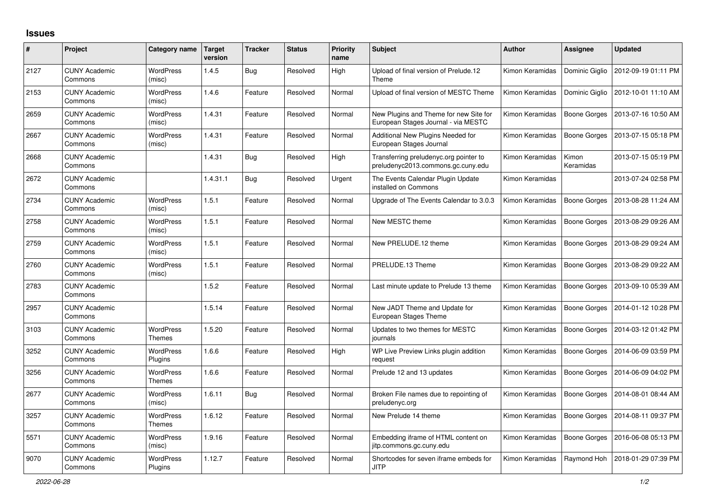## **Issues**

| $\#$ | Project                         | Category name                     | <b>Target</b><br>version | <b>Tracker</b> | <b>Status</b> | <b>Priority</b><br>name | <b>Subject</b>                                                                | <b>Author</b>   | <b>Assignee</b>     | <b>Updated</b>      |
|------|---------------------------------|-----------------------------------|--------------------------|----------------|---------------|-------------------------|-------------------------------------------------------------------------------|-----------------|---------------------|---------------------|
| 2127 | <b>CUNY Academic</b><br>Commons | <b>WordPress</b><br>(misc)        | 1.4.5                    | <b>Bug</b>     | Resolved      | High                    | Upload of final version of Prelude.12<br>Theme                                | Kimon Keramidas | Dominic Giglio      | 2012-09-19 01:11 PM |
| 2153 | <b>CUNY Academic</b><br>Commons | <b>WordPress</b><br>(misc)        | 1.4.6                    | Feature        | Resolved      | Normal                  | Upload of final version of MESTC Theme                                        | Kimon Keramidas | Dominic Giglio      | 2012-10-01 11:10 AM |
| 2659 | <b>CUNY Academic</b><br>Commons | <b>WordPress</b><br>(misc)        | 1.4.31                   | Feature        | Resolved      | Normal                  | New Plugins and Theme for new Site for<br>European Stages Journal - via MESTC | Kimon Keramidas | Boone Gorges        | 2013-07-16 10:50 AM |
| 2667 | <b>CUNY Academic</b><br>Commons | <b>WordPress</b><br>(misc)        | 1.4.31                   | Feature        | Resolved      | Normal                  | Additional New Plugins Needed for<br>European Stages Journal                  | Kimon Keramidas | <b>Boone Gorges</b> | 2013-07-15 05:18 PM |
| 2668 | <b>CUNY Academic</b><br>Commons |                                   | 1.4.31                   | Bug            | Resolved      | High                    | Transferring preludenyc.org pointer to<br>preludenyc2013.commons.gc.cuny.edu  | Kimon Keramidas | Kimon<br>Keramidas  | 2013-07-15 05:19 PM |
| 2672 | <b>CUNY Academic</b><br>Commons |                                   | 1.4.31.1                 | <b>Bug</b>     | Resolved      | Urgent                  | The Events Calendar Plugin Update<br>installed on Commons                     | Kimon Keramidas |                     | 2013-07-24 02:58 PM |
| 2734 | <b>CUNY Academic</b><br>Commons | <b>WordPress</b><br>(misc)        | 1.5.1                    | Feature        | Resolved      | Normal                  | Upgrade of The Events Calendar to 3.0.3                                       | Kimon Keramidas | Boone Gorges        | 2013-08-28 11:24 AM |
| 2758 | <b>CUNY Academic</b><br>Commons | WordPress<br>(misc)               | 1.5.1                    | Feature        | Resolved      | Normal                  | New MESTC theme                                                               | Kimon Keramidas | Boone Gorges        | 2013-08-29 09:26 AM |
| 2759 | <b>CUNY Academic</b><br>Commons | <b>WordPress</b><br>(misc)        | 1.5.1                    | Feature        | Resolved      | Normal                  | New PRELUDE.12 theme                                                          | Kimon Keramidas | <b>Boone Gorges</b> | 2013-08-29 09:24 AM |
| 2760 | <b>CUNY Academic</b><br>Commons | WordPress<br>(misc)               | 1.5.1                    | Feature        | Resolved      | Normal                  | PRELUDE.13 Theme                                                              | Kimon Keramidas | Boone Gorges        | 2013-08-29 09:22 AM |
| 2783 | <b>CUNY Academic</b><br>Commons |                                   | 1.5.2                    | Feature        | Resolved      | Normal                  | Last minute update to Prelude 13 theme                                        | Kimon Keramidas | <b>Boone Gorges</b> | 2013-09-10 05:39 AM |
| 2957 | <b>CUNY Academic</b><br>Commons |                                   | 1.5.14                   | Feature        | Resolved      | Normal                  | New JADT Theme and Update for<br>European Stages Theme                        | Kimon Keramidas | Boone Gorges        | 2014-01-12 10:28 PM |
| 3103 | <b>CUNY Academic</b><br>Commons | <b>WordPress</b><br><b>Themes</b> | 1.5.20                   | Feature        | Resolved      | Normal                  | Updates to two themes for MESTC<br>iournals                                   | Kimon Keramidas | <b>Boone Gorges</b> | 2014-03-12 01:42 PM |
| 3252 | <b>CUNY Academic</b><br>Commons | WordPress<br>Plugins              | 1.6.6                    | Feature        | Resolved      | High                    | WP Live Preview Links plugin addition<br>request                              | Kimon Keramidas | Boone Gorges        | 2014-06-09 03:59 PM |
| 3256 | <b>CUNY Academic</b><br>Commons | <b>WordPress</b><br><b>Themes</b> | 1.6.6                    | Feature        | Resolved      | Normal                  | Prelude 12 and 13 updates                                                     | Kimon Keramidas | <b>Boone Gorges</b> | 2014-06-09 04:02 PM |
| 2677 | <b>CUNY Academic</b><br>Commons | WordPress<br>(misc)               | 1.6.11                   | <b>Bug</b>     | Resolved      | Normal                  | Broken File names due to repointing of<br>preludenyc.org                      | Kimon Keramidas | Boone Gorges        | 2014-08-01 08:44 AM |
| 3257 | <b>CUNY Academic</b><br>Commons | <b>WordPress</b><br><b>Themes</b> | 1.6.12                   | Feature        | Resolved      | Normal                  | New Prelude 14 theme                                                          | Kimon Keramidas | Boone Gorges        | 2014-08-11 09:37 PM |
| 5571 | <b>CUNY Academic</b><br>Commons | <b>WordPress</b><br>(misc)        | 1.9.16                   | Feature        | Resolved      | Normal                  | Embedding iframe of HTML content on<br>jitp.commons.gc.cuny.edu               | Kimon Keramidas | Boone Gorges        | 2016-06-08 05:13 PM |
| 9070 | <b>CUNY Academic</b><br>Commons | <b>WordPress</b><br>Plugins       | 1.12.7                   | Feature        | Resolved      | Normal                  | Shortcodes for seven iframe embeds for<br><b>JITP</b>                         | Kimon Keramidas | Raymond Hoh         | 2018-01-29 07:39 PM |